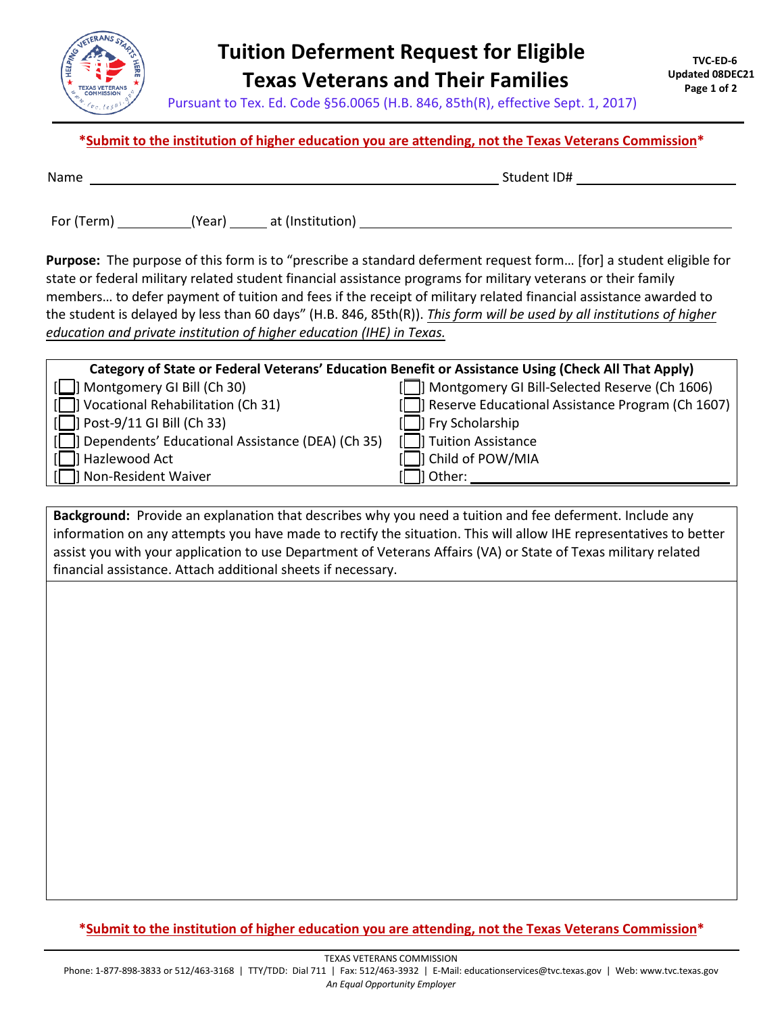

## **Tuition Deferment Request for Eligible Texas Veterans and Their Families**

Pursuant to Tex. Ed. Code §56.0065 (H.B. 846, 85th(R), effective Sept. 1, 2017)

## **\*Submit to the institution of higher education you are attending, not the Texas Veterans Commission\***

| ۰.<br>. .<br>× |  |  |
|----------------|--|--|
|                |  |  |

 $Student IDH$ 

For (Term) (Year) at (Institution)

**Purpose:** The purpose of this form is to "prescribe a standard deferment request form… [for] a student eligible for state or federal military related student financial assistance programs for military veterans or their family members… to defer payment of tuition and fees if the receipt of military related financial assistance awarded to the student is delayed by less than 60 days" (H.B. 846, 85th(R)). *This form will be used by all institutions of higher education and private institution of higher education (IHE) in Texas.* 

| Category of State or Federal Veterans' Education Benefit or Assistance Using (Check All That Apply) |                                                  |  |  |  |  |
|-----------------------------------------------------------------------------------------------------|--------------------------------------------------|--|--|--|--|
| [C]] Montgomery GI Bill (Ch 30)                                                                     | Montgomery GI Bill-Selected Reserve (Ch 1606)    |  |  |  |  |
| [□] Vocational Rehabilitation (Ch 31)                                                               | Reserve Educational Assistance Program (Ch 1607) |  |  |  |  |
| $\Box$ Post-9/11 GI Bill (Ch 33)                                                                    | <b>Fry Scholarship</b>                           |  |  |  |  |
| [C]] Dependents' Educational Assistance (DEA) (Ch 35)                                               | Tuition Assistance                               |  |  |  |  |
| ]] Hazlewood Act                                                                                    | Child of POW/MIA                                 |  |  |  |  |
| Non-Resident Waiver                                                                                 | 11 Other:                                        |  |  |  |  |

**Background:** Provide an explanation that describes why you need a tuition and fee deferment. Include any information on any attempts you have made to rectify the situation. This will allow IHE representatives to better assist you with your application to use Department of Veterans Affairs (VA) or State of Texas military related financial assistance. Attach additional sheets if necessary.

## **\*Submit to the institution of higher education you are attending, not the Texas Veterans Commission\***

TEXAS VETERANS COMMISSION